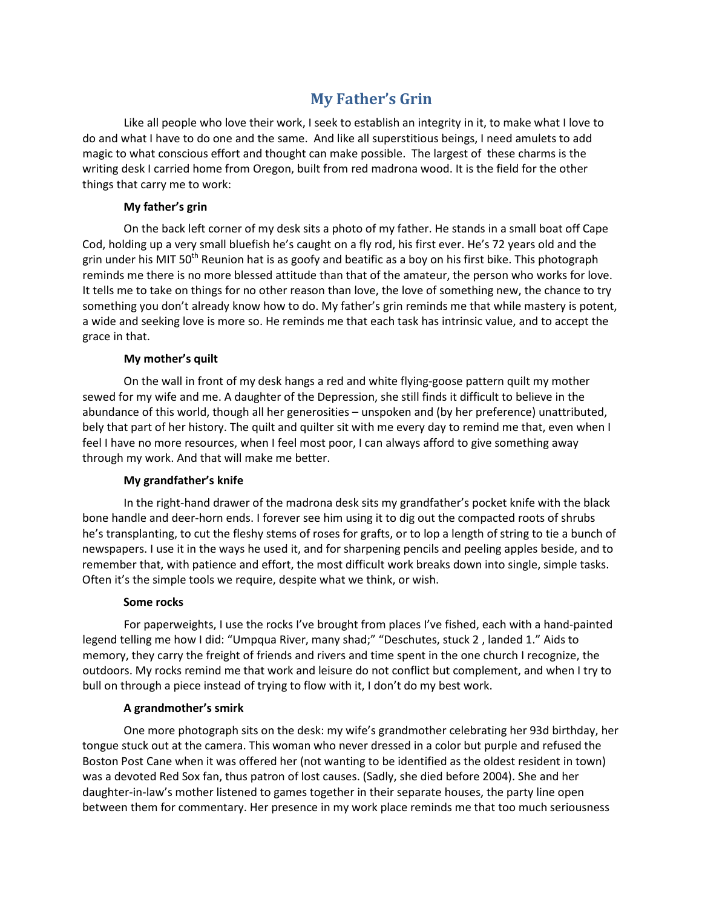# **My Father's Grin**

Like all people who love their work, I seek to establish an integrity in it, to make what I love to do and what I have to do one and the same. And like all superstitious beings, I need amulets to add magic to what conscious effort and thought can make possible. The largest of these charms is the writing desk I carried home from Oregon, built from red madrona wood. It is the field for the other things that carry me to work:

#### **My father's grin**

On the back left corner of my desk sits a photo of my father. He stands in a small boat off Cape Cod, holding up a very small bluefish he's caught on a fly rod, his first ever. He's 72 years old and the grin under his MIT 50<sup>th</sup> Reunion hat is as goofy and beatific as a boy on his first bike. This photograph reminds me there is no more blessed attitude than that of the amateur, the person who works for love. It tells me to take on things for no other reason than love, the love of something new, the chance to try something you don't already know how to do. My father's grin reminds me that while mastery is potent, a wide and seeking love is more so. He reminds me that each task has intrinsic value, and to accept the grace in that.

### **My mother's quilt**

On the wall in front of my desk hangs a red and white flying-goose pattern quilt my mother sewed for my wife and me. A daughter of the Depression, she still finds it difficult to believe in the abundance of this world, though all her generosities – unspoken and (by her preference) unattributed, bely that part of her history. The quilt and quilter sit with me every day to remind me that, even when I feel I have no more resources, when I feel most poor, I can always afford to give something away through my work. And that will make me better.

#### **My grandfather's knife**

In the right-hand drawer of the madrona desk sits my grandfather's pocket knife with the black bone handle and deer-horn ends. I forever see him using it to dig out the compacted roots of shrubs he's transplanting, to cut the fleshy stems of roses for grafts, or to lop a length of string to tie a bunch of newspapers. I use it in the ways he used it, and for sharpening pencils and peeling apples beside, and to remember that, with patience and effort, the most difficult work breaks down into single, simple tasks. Often it's the simple tools we require, despite what we think, or wish.

#### **Some rocks**

For paperweights, I use the rocks I've brought from places I've fished, each with a hand-painted legend telling me how I did: "Umpqua River, many shad;" "Deschutes, stuck 2 , landed 1." Aids to memory, they carry the freight of friends and rivers and time spent in the one church I recognize, the outdoors. My rocks remind me that work and leisure do not conflict but complement, and when I try to bull on through a piece instead of trying to flow with it, I don't do my best work.

## **A grandmother's smirk**

One more photograph sits on the desk: my wife's grandmother celebrating her 93d birthday, her tongue stuck out at the camera. This woman who never dressed in a color but purple and refused the Boston Post Cane when it was offered her (not wanting to be identified as the oldest resident in town) was a devoted Red Sox fan, thus patron of lost causes. (Sadly, she died before 2004). She and her daughter-in-law's mother listened to games together in their separate houses, the party line open between them for commentary. Her presence in my work place reminds me that too much seriousness